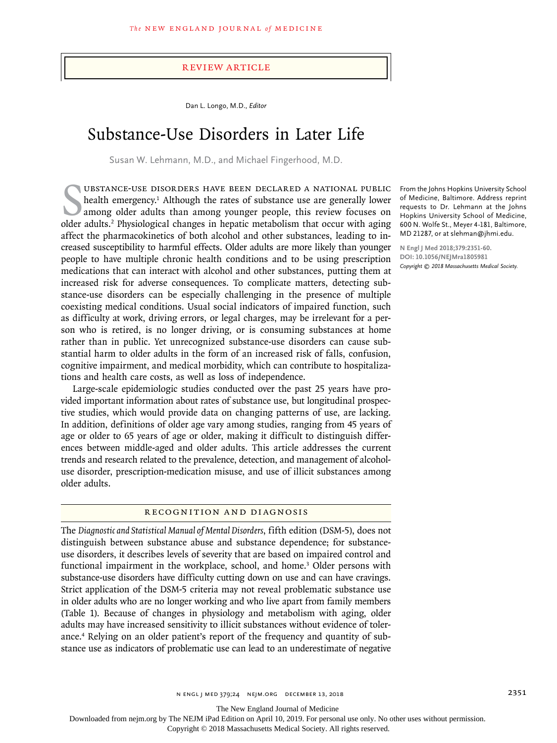# Review Article

Dan L. Longo, M.D., *Editor*

# Substance-Use Disorders in Later Life

Susan W. Lehmann, M.D., and Michael Fingerhood, M.D.

UBSTANCE-USE DISORDERS HAVE BEEN DECLARED A NATIONAL PUBLIC<br>health emergency.<sup>1</sup> Although the rates of substance use are generally lower<br>among older adults than among younger people, this review focuses on<br>older adults.<sup>2</sup> ubstance-use disorders have been declared a national public health emergency.<sup>1</sup> Although the rates of substance use are generally lower among older adults than among younger people, this review focuses on affect the pharmacokinetics of both alcohol and other substances, leading to increased susceptibility to harmful effects. Older adults are more likely than younger people to have multiple chronic health conditions and to be using prescription medications that can interact with alcohol and other substances, putting them at increased risk for adverse consequences. To complicate matters, detecting substance-use disorders can be especially challenging in the presence of multiple coexisting medical conditions. Usual social indicators of impaired function, such as difficulty at work, driving errors, or legal charges, may be irrelevant for a person who is retired, is no longer driving, or is consuming substances at home rather than in public. Yet unrecognized substance-use disorders can cause substantial harm to older adults in the form of an increased risk of falls, confusion, cognitive impairment, and medical morbidity, which can contribute to hospitalizations and health care costs, as well as loss of independence.

Large-scale epidemiologic studies conducted over the past 25 years have provided important information about rates of substance use, but longitudinal prospective studies, which would provide data on changing patterns of use, are lacking. In addition, definitions of older age vary among studies, ranging from 45 years of age or older to 65 years of age or older, making it difficult to distinguish differences between middle-aged and older adults. This article addresses the current trends and research related to the prevalence, detection, and management of alcoholuse disorder, prescription-medication misuse, and use of illicit substances among older adults.

## Recognition and Diagnosis

The *Diagnostic and Statistical Manual of Mental Disorders*, fifth edition (DSM-5), does not distinguish between substance abuse and substance dependence; for substanceuse disorders, it describes levels of severity that are based on impaired control and functional impairment in the workplace, school, and home.<sup>3</sup> Older persons with substance-use disorders have difficulty cutting down on use and can have cravings. Strict application of the DSM-5 criteria may not reveal problematic substance use in older adults who are no longer working and who live apart from family members (Table 1). Because of changes in physiology and metabolism with aging, older adults may have increased sensitivity to illicit substances without evidence of tolerance.4 Relying on an older patient's report of the frequency and quantity of substance use as indicators of problematic use can lead to an underestimate of negative

From the Johns Hopkins University School of Medicine, Baltimore. Address reprint requests to Dr. Lehmann at the Johns Hopkins University School of Medicine, 600 N. Wolfe St., Meyer 4-181, Baltimore, MD 21287, or at slehman@jhmi.edu.

**N Engl J Med 2018;379:2351-60. DOI: 10.1056/NEJMra1805981** *Copyright © 2018 Massachusetts Medical Society.*

The New England Journal of Medicine

Downloaded from nejm.org by The NEJM iPad Edition on April 10, 2019. For personal use only. No other uses without permission.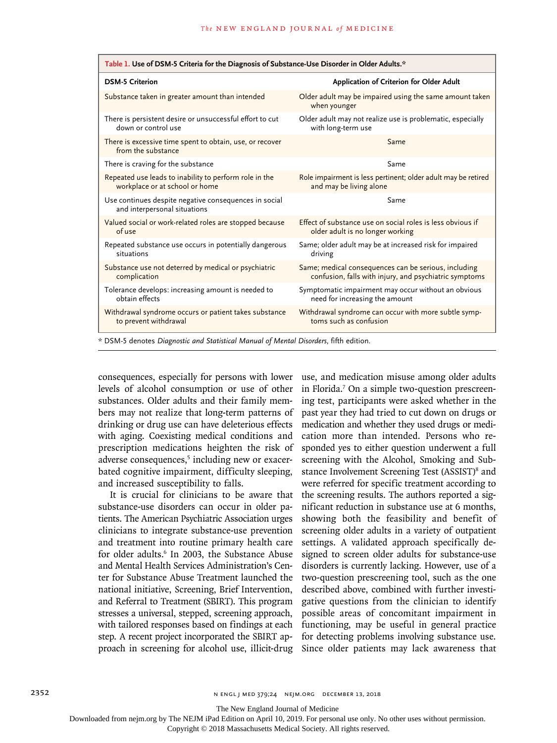| Table 1. Use of DSM-5 Criteria for the Diagnosis of Substance-Use Disorder in Older Adults.* |                                                                         |  |  |  |
|----------------------------------------------------------------------------------------------|-------------------------------------------------------------------------|--|--|--|
| <b>DSM-5 Criterion</b>                                                                       | Application of Criterion for Older Adult                                |  |  |  |
| Substance taken in greater amount than intended                                              | Older adult may be impaired using the same amount taken<br>when younger |  |  |  |
| There is persistent desire or unsuccessful effort to cut                                     | Older adult may not realize use is problematic, especially              |  |  |  |
| down or control use                                                                          | with long-term use                                                      |  |  |  |
| There is excessive time spent to obtain, use, or recover<br>from the substance               | Same                                                                    |  |  |  |
| There is craving for the substance                                                           | Same                                                                    |  |  |  |
| Repeated use leads to inability to perform role in the                                       | Role impairment is less pertinent; older adult may be retired           |  |  |  |
| workplace or at school or home                                                               | and may be living alone                                                 |  |  |  |
| Use continues despite negative consequences in social<br>and interpersonal situations        | Same                                                                    |  |  |  |
| Valued social or work-related roles are stopped because                                      | Effect of substance use on social roles is less obvious if              |  |  |  |
| of use                                                                                       | older adult is no longer working                                        |  |  |  |
| Repeated substance use occurs in potentially dangerous                                       | Same; older adult may be at increased risk for impaired                 |  |  |  |
| situations                                                                                   | driving                                                                 |  |  |  |
| Substance use not deterred by medical or psychiatric                                         | Same; medical consequences can be serious, including                    |  |  |  |
| complication                                                                                 | confusion, falls with injury, and psychiatric symptoms                  |  |  |  |
| Tolerance develops: increasing amount is needed to                                           | Symptomatic impairment may occur without an obvious                     |  |  |  |
| obtain effects                                                                               | need for increasing the amount                                          |  |  |  |
| Withdrawal syndrome occurs or patient takes substance                                        | Withdrawal syndrome can occur with more subtle symp-                    |  |  |  |
| to prevent withdrawal                                                                        | toms such as confusion                                                  |  |  |  |
| * DSM-5 denotes Diagnostic and Statistical Manual of Mental Disorders, fifth edition.        |                                                                         |  |  |  |

consequences, especially for persons with lower levels of alcohol consumption or use of other substances. Older adults and their family members may not realize that long-term patterns of drinking or drug use can have deleterious effects with aging. Coexisting medical conditions and prescription medications heighten the risk of adverse consequences,<sup>5</sup> including new or exacerbated cognitive impairment, difficulty sleeping, and increased susceptibility to falls.

It is crucial for clinicians to be aware that substance-use disorders can occur in older patients. The American Psychiatric Association urges clinicians to integrate substance-use prevention and treatment into routine primary health care for older adults.<sup>6</sup> In 2003, the Substance Abuse and Mental Health Services Administration's Center for Substance Abuse Treatment launched the national initiative, Screening, Brief Intervention, and Referral to Treatment (SBIRT). This program stresses a universal, stepped, screening approach, with tailored responses based on findings at each step. A recent project incorporated the SBIRT approach in screening for alcohol use, illicit-drug

use, and medication misuse among older adults in Florida.7 On a simple two-question prescreening test, participants were asked whether in the past year they had tried to cut down on drugs or medication and whether they used drugs or medication more than intended. Persons who responded yes to either question underwent a full screening with the Alcohol, Smoking and Substance Involvement Screening Test (ASSIST)<sup>8</sup> and were referred for specific treatment according to the screening results. The authors reported a significant reduction in substance use at 6 months, showing both the feasibility and benefit of screening older adults in a variety of outpatient settings. A validated approach specifically designed to screen older adults for substance-use disorders is currently lacking. However, use of a two-question prescreening tool, such as the one described above, combined with further investigative questions from the clinician to identify possible areas of concomitant impairment in functioning, may be useful in general practice for detecting problems involving substance use. Since older patients may lack awareness that

The New England Journal of Medicine

Downloaded from nejm.org by The NEJM iPad Edition on April 10, 2019. For personal use only. No other uses without permission.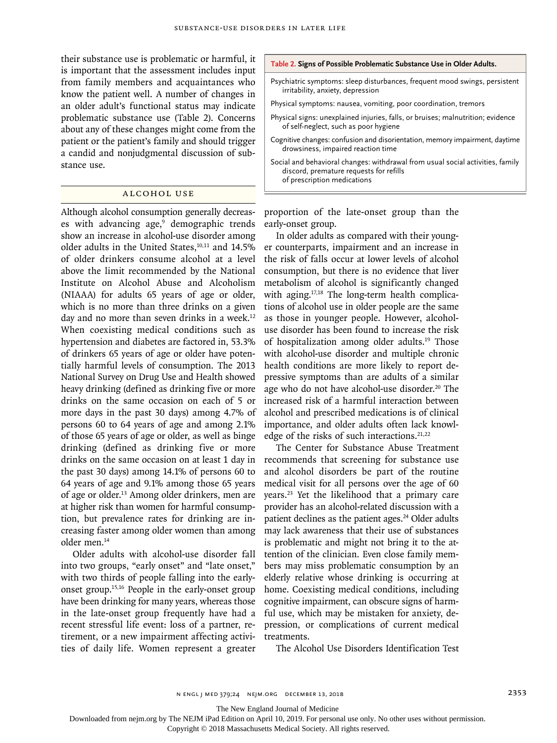their substance use is problematic or harmful, it is important that the assessment includes input from family members and acquaintances who know the patient well. A number of changes in an older adult's functional status may indicate problematic substance use (Table 2). Concerns about any of these changes might come from the patient or the patient's family and should trigger a candid and nonjudgmental discussion of substance use.

## Alcohol Use

Although alcohol consumption generally decreases with advancing age,<sup>9</sup> demographic trends show an increase in alcohol-use disorder among older adults in the United States,<sup>10,11</sup> and 14.5% of older drinkers consume alcohol at a level above the limit recommended by the National Institute on Alcohol Abuse and Alcoholism (NIAAA) for adults 65 years of age or older, which is no more than three drinks on a given day and no more than seven drinks in a week.<sup>12</sup> When coexisting medical conditions such as hypertension and diabetes are factored in, 53.3% of drinkers 65 years of age or older have potentially harmful levels of consumption. The 2013 National Survey on Drug Use and Health showed heavy drinking (defined as drinking five or more drinks on the same occasion on each of 5 or more days in the past 30 days) among 4.7% of persons 60 to 64 years of age and among 2.1% of those 65 years of age or older, as well as binge drinking (defined as drinking five or more drinks on the same occasion on at least 1 day in the past 30 days) among 14.1% of persons 60 to 64 years of age and 9.1% among those 65 years of age or older.13 Among older drinkers, men are at higher risk than women for harmful consumption, but prevalence rates for drinking are increasing faster among older women than among older men.14

Older adults with alcohol-use disorder fall into two groups, "early onset" and "late onset," with two thirds of people falling into the earlyonset group.15,16 People in the early-onset group have been drinking for many years, whereas those in the late-onset group frequently have had a recent stressful life event: loss of a partner, retirement, or a new impairment affecting activities of daily life. Women represent a greater

#### **Table 2. Signs of Possible Problematic Substance Use in Older Adults.**

Psychiatric symptoms: sleep disturbances, frequent mood swings, persistent irritability, anxiety, depression

Physical symptoms: nausea, vomiting, poor coordination, tremors

- Physical signs: unexplained injuries, falls, or bruises; malnutrition; evidence of self-neglect, such as poor hygiene
- Cognitive changes: confusion and disorientation, memory impairment, daytime drowsiness, impaired reaction time
- Social and behavioral changes: withdrawal from usual social activities, family discord, premature requests for refills of prescription medications

proportion of the late-onset group than the early-onset group.

In older adults as compared with their younger counterparts, impairment and an increase in the risk of falls occur at lower levels of alcohol consumption, but there is no evidence that liver metabolism of alcohol is significantly changed with aging.<sup>17,18</sup> The long-term health complications of alcohol use in older people are the same as those in younger people. However, alcoholuse disorder has been found to increase the risk of hospitalization among older adults.19 Those with alcohol-use disorder and multiple chronic health conditions are more likely to report depressive symptoms than are adults of a similar age who do not have alcohol-use disorder.<sup>20</sup> The increased risk of a harmful interaction between alcohol and prescribed medications is of clinical importance, and older adults often lack knowledge of the risks of such interactions. $21,22$ 

The Center for Substance Abuse Treatment recommends that screening for substance use and alcohol disorders be part of the routine medical visit for all persons over the age of 60 years.23 Yet the likelihood that a primary care provider has an alcohol-related discussion with a patient declines as the patient ages.<sup>24</sup> Older adults may lack awareness that their use of substances is problematic and might not bring it to the attention of the clinician. Even close family members may miss problematic consumption by an elderly relative whose drinking is occurring at home. Coexisting medical conditions, including cognitive impairment, can obscure signs of harmful use, which may be mistaken for anxiety, depression, or complications of current medical treatments.

The Alcohol Use Disorders Identification Test

The New England Journal of Medicine

Downloaded from nejm.org by The NEJM iPad Edition on April 10, 2019. For personal use only. No other uses without permission.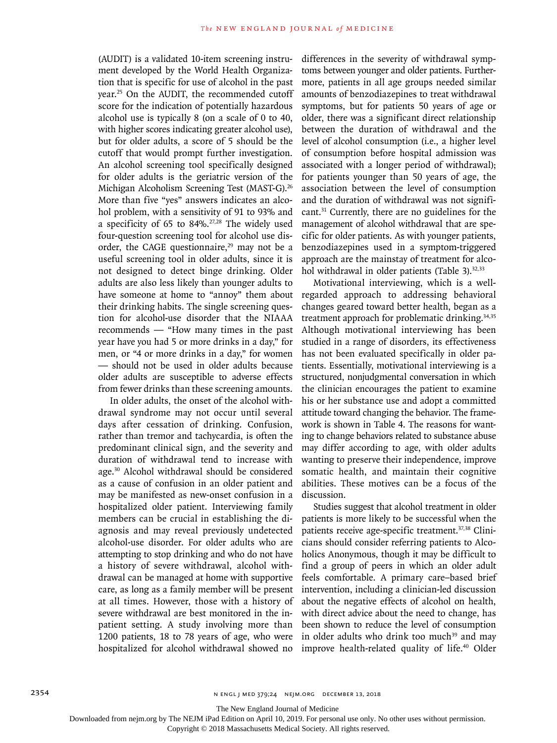(AUDIT) is a validated 10-item screening instrument developed by the World Health Organization that is specific for use of alcohol in the past year.25 On the AUDIT, the recommended cutoff score for the indication of potentially hazardous alcohol use is typically 8 (on a scale of 0 to 40, with higher scores indicating greater alcohol use), but for older adults, a score of 5 should be the cutoff that would prompt further investigation. An alcohol screening tool specifically designed for older adults is the geriatric version of the Michigan Alcoholism Screening Test (MAST-G).<sup>26</sup> More than five "yes" answers indicates an alcohol problem, with a sensitivity of 91 to 93% and a specificity of 65 to 84%. $27,28$  The widely used four-question screening tool for alcohol use disorder, the CAGE questionnaire, $29$  may not be a useful screening tool in older adults, since it is not designed to detect binge drinking. Older adults are also less likely than younger adults to have someone at home to "annoy" them about their drinking habits. The single screening question for alcohol-use disorder that the NIAAA recommends — "How many times in the past year have you had 5 or more drinks in a day," for men, or "4 or more drinks in a day," for women — should not be used in older adults because older adults are susceptible to adverse effects from fewer drinks than these screening amounts.

In older adults, the onset of the alcohol withdrawal syndrome may not occur until several days after cessation of drinking. Confusion, rather than tremor and tachycardia, is often the predominant clinical sign, and the severity and duration of withdrawal tend to increase with age.30 Alcohol withdrawal should be considered as a cause of confusion in an older patient and may be manifested as new-onset confusion in a hospitalized older patient. Interviewing family members can be crucial in establishing the diagnosis and may reveal previously undetected alcohol-use disorder. For older adults who are attempting to stop drinking and who do not have a history of severe withdrawal, alcohol withdrawal can be managed at home with supportive care, as long as a family member will be present at all times. However, those with a history of severe withdrawal are best monitored in the inpatient setting. A study involving more than 1200 patients, 18 to 78 years of age, who were hospitalized for alcohol withdrawal showed no differences in the severity of withdrawal symptoms between younger and older patients. Furthermore, patients in all age groups needed similar amounts of benzodiazepines to treat withdrawal symptoms, but for patients 50 years of age or older, there was a significant direct relationship between the duration of withdrawal and the level of alcohol consumption (i.e., a higher level of consumption before hospital admission was associated with a longer period of withdrawal); for patients younger than 50 years of age, the association between the level of consumption and the duration of withdrawal was not significant.31 Currently, there are no guidelines for the management of alcohol withdrawal that are specific for older patients. As with younger patients, benzodiazepines used in a symptom-triggered approach are the mainstay of treatment for alcohol withdrawal in older patients (Table 3). $32,33$ 

Motivational interviewing, which is a wellregarded approach to addressing behavioral changes geared toward better health, began as a treatment approach for problematic drinking.<sup>34,35</sup> Although motivational interviewing has been studied in a range of disorders, its effectiveness has not been evaluated specifically in older patients. Essentially, motivational interviewing is a structured, nonjudgmental conversation in which the clinician encourages the patient to examine his or her substance use and adopt a committed attitude toward changing the behavior. The framework is shown in Table 4. The reasons for wanting to change behaviors related to substance abuse may differ according to age, with older adults wanting to preserve their independence, improve somatic health, and maintain their cognitive abilities. These motives can be a focus of the discussion.

Studies suggest that alcohol treatment in older patients is more likely to be successful when the patients receive age-specific treatment.37,38 Clinicians should consider referring patients to Alcoholics Anonymous, though it may be difficult to find a group of peers in which an older adult feels comfortable. A primary care–based brief intervention, including a clinician-led discussion about the negative effects of alcohol on health, with direct advice about the need to change, has been shown to reduce the level of consumption in older adults who drink too much<sup>39</sup> and may improve health-related quality of life.<sup>40</sup> Older

The New England Journal of Medicine

Downloaded from nejm.org by The NEJM iPad Edition on April 10, 2019. For personal use only. No other uses without permission.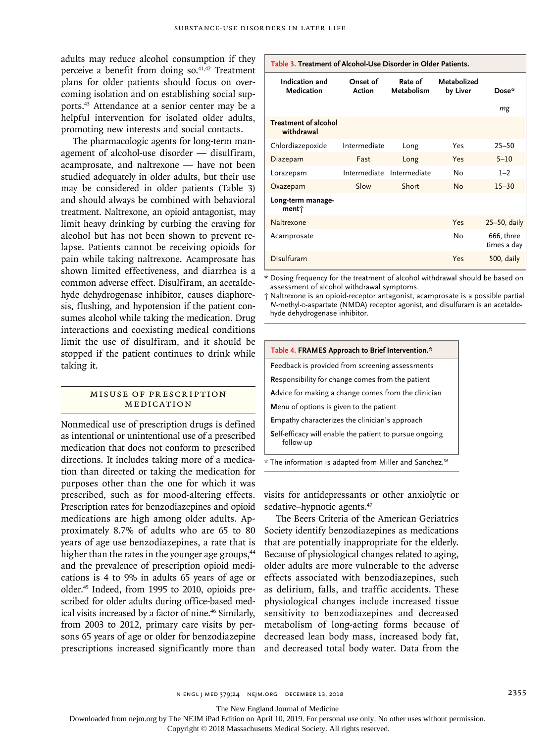adults may reduce alcohol consumption if they perceive a benefit from doing so.41,42 Treatment plans for older patients should focus on overcoming isolation and on establishing social supports.43 Attendance at a senior center may be a helpful intervention for isolated older adults, promoting new interests and social contacts.

The pharmacologic agents for long-term management of alcohol-use disorder — disulfiram, acamprosate, and naltrexone — have not been studied adequately in older adults, but their use may be considered in older patients (Table 3) and should always be combined with behavioral treatment. Naltrexone, an opioid antagonist, may limit heavy drinking by curbing the craving for alcohol but has not been shown to prevent relapse. Patients cannot be receiving opioids for pain while taking naltrexone. Acamprosate has shown limited effectiveness, and diarrhea is a common adverse effect. Disulfiram, an acetaldehyde dehydrogenase inhibitor, causes diaphoresis, flushing, and hypotension if the patient consumes alcohol while taking the medication. Drug interactions and coexisting medical conditions limit the use of disulfiram, and it should be stopped if the patient continues to drink while taking it.

# MISUSE OF PRESCRIPTION Medication

Nonmedical use of prescription drugs is defined as intentional or unintentional use of a prescribed medication that does not conform to prescribed directions. It includes taking more of a medication than directed or taking the medication for purposes other than the one for which it was prescribed, such as for mood-altering effects. Prescription rates for benzodiazepines and opioid medications are high among older adults. Approximately 8.7% of adults who are 65 to 80 years of age use benzodiazepines, a rate that is higher than the rates in the younger age groups,<sup>44</sup> and the prevalence of prescription opioid medications is 4 to 9% in adults 65 years of age or older.45 Indeed, from 1995 to 2010, opioids prescribed for older adults during office-based medical visits increased by a factor of nine.<sup>46</sup> Similarly, from 2003 to 2012, primary care visits by persons 65 years of age or older for benzodiazepine prescriptions increased significantly more than

| Table 3. Treatment of Alcohol-Use Disorder in Older Patients. |                           |                              |                         |                           |  |
|---------------------------------------------------------------|---------------------------|------------------------------|-------------------------|---------------------------|--|
| Indication and<br>Medication                                  | Onset of<br><b>Action</b> | Rate of<br><b>Metabolism</b> | Metabolized<br>by Liver | Dose*<br>mg               |  |
| <b>Treatment of alcohol</b><br>withdrawal                     |                           |                              |                         |                           |  |
| Chlordiazepoxide                                              | Intermediate              | Long                         | Yes                     | $25 - 50$                 |  |
| Diazepam                                                      | Fast                      | Long                         | Yes                     | $5 - 10$                  |  |
| Lorazepam                                                     | Intermediate              | Intermediate                 | No                      | $1 - 2$                   |  |
| Oxazepam                                                      | Slow                      | Short                        | <b>No</b>               | $15 - 30$                 |  |
| Long-term manage-<br>ment $\dagger$                           |                           |                              |                         |                           |  |
| Naltrexone                                                    |                           |                              | Yes                     | $25-50$ , daily           |  |
| Acamprosate                                                   |                           |                              | No                      | 666, three<br>times a day |  |
| Disulfuram                                                    |                           |                              | Yes                     | 500, daily                |  |

\* Dosing frequency for the treatment of alcohol withdrawal should be based on assessment of alcohol withdrawal symptoms.

† Naltrexone is an opioid-receptor antagonist, acamprosate is a possible partial *N*-methyl-D-aspartate (NMDA) receptor agonist, and disulfuram is an acetaldehyde dehydrogenase inhibitor.

| Table 4. FRAMES Approach to Brief Intervention.*                     |  |
|----------------------------------------------------------------------|--|
| <b>Feedback is provided from screening assessments</b>               |  |
| <b>Responsibility for change comes from the patient</b>              |  |
| Advice for making a change comes from the clinician                  |  |
| Menu of options is given to the patient                              |  |
| <b>Empathy characterizes the clinician's approach</b>                |  |
| Self-efficacy will enable the patient to pursue ongoing<br>follow-up |  |
| 2 <sup>c</sup>                                                       |  |

 $*$  The information is adapted from Miller and Sanchez. $36$ 

visits for antidepressants or other anxiolytic or sedative–hypnotic agents.<sup>47</sup>

The Beers Criteria of the American Geriatrics Society identify benzodiazepines as medications that are potentially inappropriate for the elderly. Because of physiological changes related to aging, older adults are more vulnerable to the adverse effects associated with benzodiazepines, such as delirium, falls, and traffic accidents. These physiological changes include increased tissue sensitivity to benzodiazepines and decreased metabolism of long-acting forms because of decreased lean body mass, increased body fat, and decreased total body water. Data from the

n engl j med 379;24 nejm.org December 13, 2018 2355

The New England Journal of Medicine

Downloaded from nejm.org by The NEJM iPad Edition on April 10, 2019. For personal use only. No other uses without permission.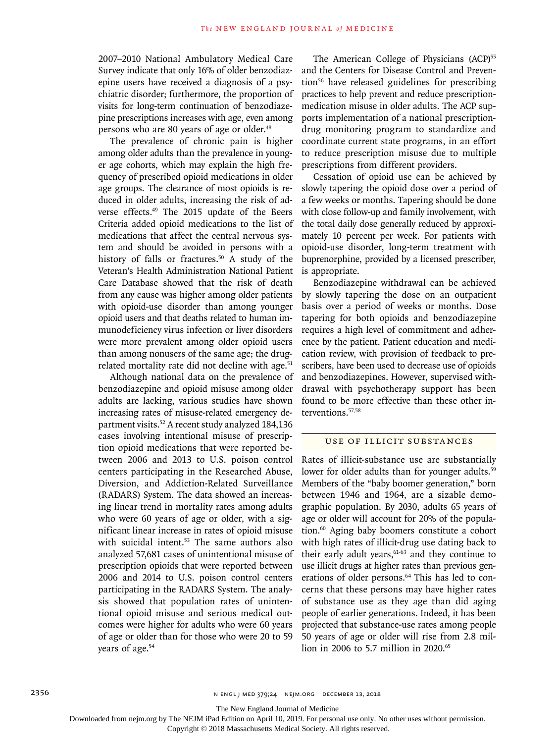2007–2010 National Ambulatory Medical Care Survey indicate that only 16% of older benzodiazepine users have received a diagnosis of a psychiatric disorder; furthermore, the proportion of visits for long-term continuation of benzodiazepine prescriptions increases with age, even among persons who are 80 years of age or older.<sup>48</sup>

The prevalence of chronic pain is higher among older adults than the prevalence in younger age cohorts, which may explain the high frequency of prescribed opioid medications in older age groups. The clearance of most opioids is reduced in older adults, increasing the risk of adverse effects.<sup>49</sup> The 2015 update of the Beers Criteria added opioid medications to the list of medications that affect the central nervous system and should be avoided in persons with a history of falls or fractures.<sup>50</sup> A study of the Veteran's Health Administration National Patient Care Database showed that the risk of death from any cause was higher among older patients with opioid-use disorder than among younger opioid users and that deaths related to human immunodeficiency virus infection or liver disorders were more prevalent among older opioid users than among nonusers of the same age; the drugrelated mortality rate did not decline with age.<sup>51</sup>

Although national data on the prevalence of benzodiazepine and opioid misuse among older adults are lacking, various studies have shown increasing rates of misuse-related emergency department visits.<sup>52</sup> A recent study analyzed 184,136 cases involving intentional misuse of prescription opioid medications that were reported between 2006 and 2013 to U.S. poison control centers participating in the Researched Abuse, Diversion, and Addiction-Related Surveillance (RADARS) System. The data showed an increasing linear trend in mortality rates among adults who were 60 years of age or older, with a significant linear increase in rates of opioid misuse with suicidal intent.<sup>53</sup> The same authors also analyzed 57,681 cases of unintentional misuse of prescription opioids that were reported between 2006 and 2014 to U.S. poison control centers participating in the RADARS System. The analysis showed that population rates of unintentional opioid misuse and serious medical outcomes were higher for adults who were 60 years of age or older than for those who were 20 to 59 years of age.<sup>54</sup>

The American College of Physicians (ACP)<sup>55</sup> and the Centers for Disease Control and Prevention56 have released guidelines for prescribing practices to help prevent and reduce prescriptionmedication misuse in older adults. The ACP supports implementation of a national prescriptiondrug monitoring program to standardize and coordinate current state programs, in an effort to reduce prescription misuse due to multiple prescriptions from different providers.

Cessation of opioid use can be achieved by slowly tapering the opioid dose over a period of a few weeks or months. Tapering should be done with close follow-up and family involvement, with the total daily dose generally reduced by approximately 10 percent per week. For patients with opioid-use disorder, long-term treatment with buprenorphine, provided by a licensed prescriber, is appropriate.

Benzodiazepine withdrawal can be achieved by slowly tapering the dose on an outpatient basis over a period of weeks or months. Dose tapering for both opioids and benzodiazepine requires a high level of commitment and adherence by the patient. Patient education and medication review, with provision of feedback to prescribers, have been used to decrease use of opioids and benzodiazepines. However, supervised withdrawal with psychotherapy support has been found to be more effective than these other interventions.57,58

## Use of Illicit Substances

Rates of illicit-substance use are substantially lower for older adults than for younger adults.<sup>59</sup> Members of the "baby boomer generation," born between 1946 and 1964, are a sizable demographic population. By 2030, adults 65 years of age or older will account for 20% of the population.60 Aging baby boomers constitute a cohort with high rates of illicit-drug use dating back to their early adult years, $61-63$  and they continue to use illicit drugs at higher rates than previous generations of older persons.<sup>64</sup> This has led to concerns that these persons may have higher rates of substance use as they age than did aging people of earlier generations. Indeed, it has been projected that substance-use rates among people 50 years of age or older will rise from 2.8 million in 2006 to 5.7 million in 2020.<sup>65</sup>

The New England Journal of Medicine

Downloaded from nejm.org by The NEJM iPad Edition on April 10, 2019. For personal use only. No other uses without permission.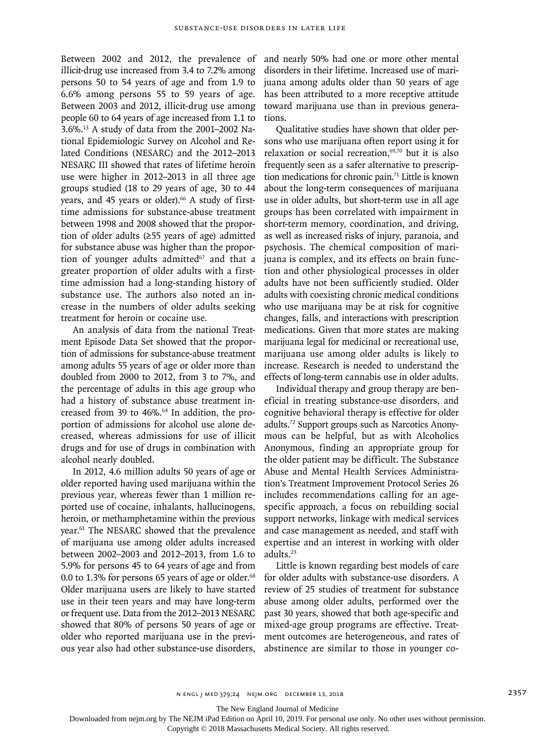Between 2002 and 2012, the prevalence of illicit-drug use increased from 3.4 to 7.2% among persons 50 to 54 years of age and from 1.9 to 6.6% among persons 55 to 59 years of age. Between 2003 and 2012, illicit-drug use among people 60 to 64 years of age increased from 1.1 to 3.6%.13 A study of data from the 2001–2002 National Epidemiologic Survey on Alcohol and Related Conditions (NESARC) and the 2012–2013 NESARC III showed that rates of lifetime heroin use were higher in 2012–2013 in all three age groups studied (18 to 29 years of age, 30 to 44 years, and 45 years or older).<sup>66</sup> A study of firsttime admissions for substance-abuse treatment between 1998 and 2008 showed that the proportion of older adults (≥55 years of age) admitted for substance abuse was higher than the proportion of younger adults admitted $67$  and that a greater proportion of older adults with a firsttime admission had a long-standing history of substance use. The authors also noted an increase in the numbers of older adults seeking treatment for heroin or cocaine use.

An analysis of data from the national Treatment Episode Data Set showed that the proportion of admissions for substance-abuse treatment among adults 55 years of age or older more than doubled from 2000 to 2012, from 3 to 7%, and the percentage of adults in this age group who had a history of substance abuse treatment increased from 39 to 46%.<sup>64</sup> In addition, the proportion of admissions for alcohol use alone decreased, whereas admissions for use of illicit drugs and for use of drugs in combination with alcohol nearly doubled.

In 2012, 4.6 million adults 50 years of age or older reported having used marijuana within the previous year, whereas fewer than 1 million reported use of cocaine, inhalants, hallucinogens, heroin, or methamphetamine within the previous year.61 The NESARC showed that the prevalence of marijuana use among older adults increased between 2002–2003 and 2012–2013, from 1.6 to 5.9% for persons 45 to 64 years of age and from 0.0 to 1.3% for persons 65 years of age or older.<sup>68</sup> Older marijuana users are likely to have started use in their teen years and may have long-term or frequent use. Data from the 2012–2013 NESARC showed that 80% of persons 50 years of age or older who reported marijuana use in the previous year also had other substance-use disorders,

and nearly 50% had one or more other mental disorders in their lifetime. Increased use of marijuana among adults older than 50 years of age has been attributed to a more receptive attitude toward marijuana use than in previous generations.

Qualitative studies have shown that older persons who use marijuana often report using it for relaxation or social recreation,<sup>69,70</sup> but it is also frequently seen as a safer alternative to prescription medications for chronic pain.71 Little is known about the long-term consequences of marijuana use in older adults, but short-term use in all age groups has been correlated with impairment in short-term memory, coordination, and driving, as well as increased risks of injury, paranoia, and psychosis. The chemical composition of marijuana is complex, and its effects on brain function and other physiological processes in older adults have not been sufficiently studied. Older adults with coexisting chronic medical conditions who use marijuana may be at risk for cognitive changes, falls, and interactions with prescription medications. Given that more states are making marijuana legal for medicinal or recreational use, marijuana use among older adults is likely to increase. Research is needed to understand the effects of long-term cannabis use in older adults.

Individual therapy and group therapy are beneficial in treating substance-use disorders, and cognitive behavioral therapy is effective for older adults.72 Support groups such as Narcotics Anonymous can be helpful, but as with Alcoholics Anonymous, finding an appropriate group for the older patient may be difficult. The Substance Abuse and Mental Health Services Administration's Treatment Improvement Protocol Series 26 includes recommendations calling for an agespecific approach, a focus on rebuilding social support networks, linkage with medical services and case management as needed, and staff with expertise and an interest in working with older adults.23

Little is known regarding best models of care for older adults with substance-use disorders. A review of 25 studies of treatment for substance abuse among older adults, performed over the past 30 years, showed that both age-specific and mixed-age group programs are effective. Treatment outcomes are heterogeneous, and rates of abstinence are similar to those in younger co-

The New England Journal of Medicine

Downloaded from nejm.org by The NEJM iPad Edition on April 10, 2019. For personal use only. No other uses without permission.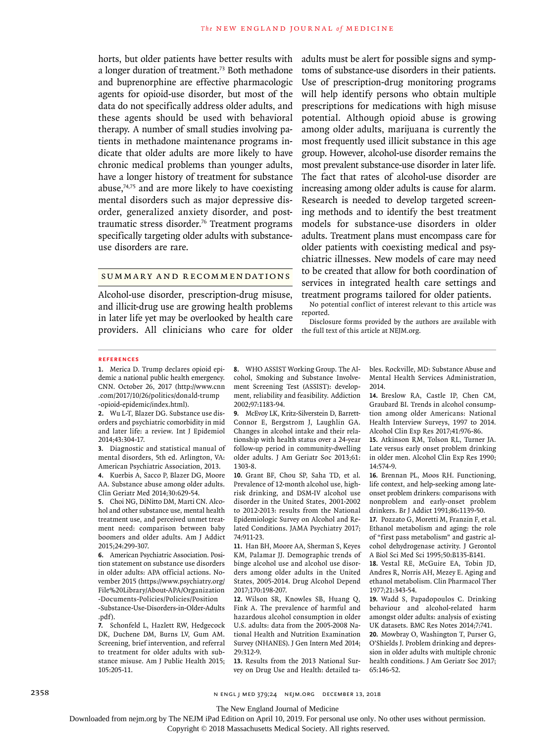horts, but older patients have better results with a longer duration of treatment.73 Both methadone and buprenorphine are effective pharmacologic agents for opioid-use disorder, but most of the data do not specifically address older adults, and these agents should be used with behavioral therapy. A number of small studies involving patients in methadone maintenance programs indicate that older adults are more likely to have chronic medical problems than younger adults, have a longer history of treatment for substance abuse, $74,75$  and are more likely to have coexisting mental disorders such as major depressive disorder, generalized anxiety disorder, and posttraumatic stress disorder.76 Treatment programs specifically targeting older adults with substanceuse disorders are rare.

# Summary and Recommendations

Alcohol-use disorder, prescription-drug misuse, and illicit-drug use are growing health problems in later life yet may be overlooked by health care providers. All clinicians who care for older the full text of this article at NEJM.org.

adults must be alert for possible signs and symptoms of substance-use disorders in their patients. Use of prescription-drug monitoring programs will help identify persons who obtain multiple prescriptions for medications with high misuse potential. Although opioid abuse is growing among older adults, marijuana is currently the most frequently used illicit substance in this age group. However, alcohol-use disorder remains the most prevalent substance-use disorder in later life. The fact that rates of alcohol-use disorder are increasing among older adults is cause for alarm. Research is needed to develop targeted screening methods and to identify the best treatment models for substance-use disorders in older adults. Treatment plans must encompass care for older patients with coexisting medical and psychiatric illnesses. New models of care may need to be created that allow for both coordination of services in integrated health care settings and treatment programs tailored for older patients.

No potential conflict of interest relevant to this article was reported.

Disclosure forms provided by the authors are available with

#### **References**

**1.** Merica D. Trump declares opioid epidemic a national public health emergency. CNN. October 26, 2017 (http://www.cnn .com/2017/10/26/politics/donald-trump -opioid-epidemic/index.html).

**2.** Wu L-T, Blazer DG. Substance use disorders and psychiatric comorbidity in mid and later life: a review. Int J Epidemiol 2014;43:304-17.

**3.** Diagnostic and statistical manual of mental disorders, 5th ed. Arlington, VA: American Psychiatric Association, 2013.

**4.** Kuerbis A, Sacco P, Blazer DG, Moore AA. Substance abuse among older adults. Clin Geriatr Med 2014;30:629-54.

**5.** Choi NG, DiNitto DM, Marti CN. Alcohol and other substance use, mental health treatment use, and perceived unmet treatment need: comparison between baby boomers and older adults. Am J Addict 2015;24:299-307.

**6.** American Psychiatric Association. Position statement on substance use disorders in older adults: APA official actions. November 2015 (https://www.psychiatry.org/ File%20Library/About-APA/Organization -Documents-Policies/Policies/Position -Substance-Use-Disorders-in-Older-Adults

.pdf). **7.** Schonfeld L, Hazlett RW, Hedgecock DK, Duchene DM, Burns LV, Gum AM. Screening, brief intervention, and referral to treatment for older adults with substance misuse. Am J Public Health 2015; 105:205-11.

**8.** WHO ASSIST Working Group. The Alcohol, Smoking and Substance Involvement Screening Test (ASSIST): development, reliability and feasibility. Addiction 2002;97:1183-94.

**9.** McEvoy LK, Kritz-Silverstein D, Barrett-Connor E, Bergstrom J, Laughlin GA. Changes in alcohol intake and their relationship with health status over a 24-year follow-up period in community-dwelling older adults. J Am Geriatr Soc 2013;61: 1303-8.

**10.** Grant BF, Chou SP, Saha TD, et al. Prevalence of 12-month alcohol use, highrisk drinking, and DSM-IV alcohol use disorder in the United States, 2001-2002 to 2012-2013: results from the National Epidemiologic Survey on Alcohol and Related Conditions. JAMA Psychiatry 2017; 74:911-23.

**11.** Han BH, Moore AA, Sherman S, Keyes KM, Palamar JJ. Demographic trends of binge alcohol use and alcohol use disorders among older adults in the United States, 2005-2014. Drug Alcohol Depend 2017;170:198-207.

**12.** Wilson SR, Knowles SB, Huang Q, Fink A. The prevalence of harmful and hazardous alcohol consumption in older U.S. adults: data from the 2005-2008 National Health and Nutrition Examination Survey (NHANES). J Gen Intern Med 2014; 29:312-9.

**13.** Results from the 2013 National Survey on Drug Use and Health: detailed tables. Rockville, MD: Substance Abuse and Mental Health Services Administration, 2014.

**14.** Breslow RA, Castle IP, Chen CM, Graubard BI. Trends in alcohol consumption among older Americans: National Health Interview Surveys, 1997 to 2014. Alcohol Clin Exp Res 2017;41:976-86.

**15.** Atkinson RM, Tolson RL, Turner JA. Late versus early onset problem drinking in older men. Alcohol Clin Exp Res 1990; 14:574-9.

**16.** Brennan PL, Moos RH. Functioning, life context, and help-seeking among lateonset problem drinkers: comparisons with nonproblem and early-onset problem drinkers. Br J Addict 1991;86:1139-50.

**17.** Pozzato G, Moretti M, Franzin F, et al. Ethanol metabolism and aging: the role of "first pass metabolism" and gastric alcohol dehydrogenase activity. J Gerontol A Biol Sci Med Sci 1995;50:B135-B141.

**18.** Vestal RE, McGuire EA, Tobin JD, Andres R, Norris AH, Mezey E. Aging and ethanol metabolism. Clin Pharmacol Ther 1977;21:343-54.

**19.** Wadd S, Papadopoulos C. Drinking behaviour and alcohol-related harm amongst older adults: analysis of existing UK datasets. BMC Res Notes 2014;7:741. **20.** Mowbray O, Washington T, Purser G, O'Shields J. Problem drinking and depression in older adults with multiple chronic health conditions. J Am Geriatr Soc 2017; 65:146-52.

2358 n engl j med 379;24 nejm.org December 13, 2018

The New England Journal of Medicine

Downloaded from nejm.org by The NEJM iPad Edition on April 10, 2019. For personal use only. No other uses without permission.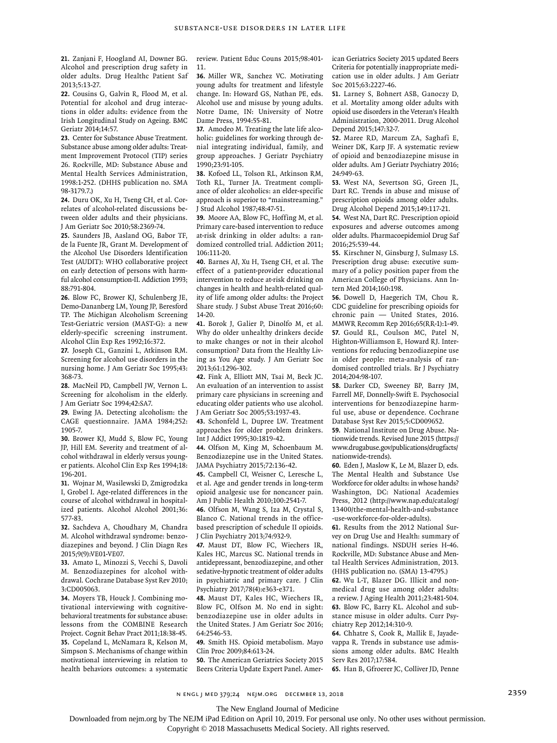**21.** Zanjani F, Hoogland AI, Downer BG. Alcohol and prescription drug safety in older adults. Drug Healthc Patient Saf 2013;5:13-27.

**22.** Cousins G, Galvin R, Flood M, et al. Potential for alcohol and drug interactions in older adults: evidence from the Irish Longitudinal Study on Ageing. BMC Geriatr 2014;14:57.

**23.** Center for Substance Abuse Treatment. Substance abuse among older adults: Treatment Improvement Protocol (TIP) series 26. Rockville, MD: Substance Abuse and Mental Health Services Administration, 1998:1-252. (DHHS publication no. SMA 98-3179.7.)

**24.** Duru OK, Xu H, Tseng CH, et al. Correlates of alcohol-related discussions between older adults and their physicians. J Am Geriatr Soc 2010;58:2369-74.

**25.** Saunders JB, Aasland OG, Babor TF, de la Fuente JR, Grant M. Development of the Alcohol Use Disorders Identification Test (AUDIT): WHO collaborative project on early detection of persons with harmful alcohol consumption-II. Addiction 1993; 88:791-804.

**26.** Blow FC, Brower KJ, Schulenberg JE, Demo-Dananberg LM, Young JP, Beresford TP. The Michigan Alcoholism Screening Test-Geriatric version (MAST-G): a new elderly-specific screening instrument. Alcohol Clin Exp Res 1992;16:372.

**27.** Joseph CL, Ganzini L, Atkinson RM. Screening for alcohol use disorders in the nursing home. J Am Geriatr Soc 1995;43: 368-73.

**28.** MacNeil PD, Campbell JW, Vernon L. Screening for alcoholism in the elderly. J Am Geriatr Soc 1994;42:SA7.

**29.** Ewing JA. Detecting alcoholism: the CAGE questionnaire. JAMA 1984;252: 1905-7.

**30.** Brower KJ, Mudd S, Blow FC, Young JP, Hill EM. Severity and treatment of alcohol withdrawal in elderly versus younger patients. Alcohol Clin Exp Res 1994;18: 196-201.

**31.** Wojnar M, Wasilewski D, Zmigrodzka I, Grobel I. Age-related differences in the course of alcohol withdrawal in hospitalized patients. Alcohol Alcohol 2001;36: 577-83.

**32.** Sachdeva A, Choudhary M, Chandra M. Alcohol withdrawal syndrome: benzodiazepines and beyond. J Clin Diagn Res 2015;9(9):VE01-VE07.

**33.** Amato L, Minozzi S, Vecchi S, Davoli M. Benzodiazepines for alcohol withdrawal. Cochrane Database Syst Rev 2010; 3:CD005063.

**34.** Moyers TB, Houck J. Combining motivational interviewing with cognitivebehavioral treatments for substance abuse: lessons from the COMBINE Research Project. Cognit Behav Pract 2011;18:38-45. **35.** Copeland L, McNamara R, Kelson M, Simpson S. Mechanisms of change within motivational interviewing in relation to health behaviors outcomes: a systematic review. Patient Educ Couns 2015;98:401- 11.

**36.** Miller WR, Sanchez VC. Motivating young adults for treatment and lifestyle change. In: Howard GS, Nathan PE, eds. Alcohol use and misuse by young adults. Notre Dame, IN: University of Notre Dame Press, 1994:55-81.

**37.** Amodeo M. Treating the late life alcoholic: guidelines for working through denial integrating individual, family, and group approaches. J Geriatr Psychiatry 1990;23:91-105.

**38.** Kofoed LL, Tolson RL, Atkinson RM, Toth RL, Turner JA. Treatment compliance of older alcoholics: an elder-specific approach is superior to "mainstreaming." J Stud Alcohol 1987;48:47-51.

**39.** Moore AA, Blow FC, Hoffing M, et al. Primary care-based intervention to reduce at-risk drinking in older adults: a randomized controlled trial. Addiction 2011; 106:111-20.

**40.** Barnes AJ, Xu H, Tseng CH, et al. The effect of a patient-provider educational intervention to reduce at-risk drinking on changes in health and health-related quality of life among older adults: the Project Share study. J Subst Abuse Treat 2016;60: 14-20.

**41.** Borok J, Galier P, Dinolfo M, et al. Why do older unhealthy drinkers decide to make changes or not in their alcohol consumption? Data from the Healthy Living as You Age study. J Am Geriatr Soc 2013;61:1296-302.

**42.** Fink A, Elliott MN, Tsai M, Beck JC. An evaluation of an intervention to assist primary care physicians in screening and educating older patients who use alcohol. J Am Geriatr Soc 2005;53:1937-43.

**43.** Schonfeld L, Dupree LW. Treatment approaches for older problem drinkers. Int J Addict 1995;30:1819-42.

**44.** Olfson M, King M, Schoenbaum M. Benzodiazepine use in the United States. JAMA Psychiatry 2015;72:136-42.

**45.** Campbell CI, Weisner C, Leresche L, et al. Age and gender trends in long-term opioid analgesic use for noncancer pain. Am J Public Health 2010;100:2541-7.

**46.** Olfson M, Wang S, Iza M, Crystal S, Blanco C. National trends in the officebased prescription of schedule II opioids. J Clin Psychiatry 2013;74:932-9.

**47.** Maust DT, Blow FC, Wiechers IR, Kales HC, Marcus SC. National trends in antidepressant, benzodiazepine, and other sedative-hypnotic treatment of older adults in psychiatric and primary care. J Clin Psychiatry 2017;78(4):e363-e371.

**48.** Maust DT, Kales HC, Wiechers IR, Blow FC, Olfson M. No end in sight: benzodiazepine use in older adults in the United States. J Am Geriatr Soc 2016; 64:2546-53.

**49.** Smith HS. Opioid metabolism. Mayo Clin Proc 2009;84:613-24.

**50.** The American Geriatrics Society 2015 Beers Criteria Update Expert Panel. American Geriatrics Society 2015 updated Beers Criteria for potentially inappropriate medication use in older adults. J Am Geriatr Soc 2015;63:2227-46.

**51.** Larney S, Bohnert ASB, Ganoczy D, et al. Mortality among older adults with opioid use disorders in the Veteran's Health Administration, 2000-2011. Drug Alcohol Depend 2015;147:32-7.

**52.** Maree RD, Marcum ZA, Saghafi E, Weiner DK, Karp JF. A systematic review of opioid and benzodiazepine misuse in older adults. Am J Geriatr Psychiatry 2016; 24:949-63.

**53.** West NA, Severtson SG, Green JL, Dart RC. Trends in abuse and misuse of prescription opioids among older adults. Drug Alcohol Depend 2015;149:117-21.

**54.** West NA, Dart RC. Prescription opioid exposures and adverse outcomes among older adults. Pharmacoepidemiol Drug Saf 2016;25:539-44.

**55.** Kirschner N, Ginsburg J, Sulmasy LS. Prescription drug abuse: executive summary of a policy position paper from the American College of Physicians. Ann Intern Med 2014;160:198.

**56.** Dowell D, Haegerich TM, Chou R. CDC guideline for prescribing opioids for chronic pain — United States, 2016. MMWR Recomm Rep 2016;65(RR-1):1-49. **57.** Gould RL, Coulson MC, Patel N, Highton-Williamson E, Howard RJ. Interventions for reducing benzodiazepine use in older people: meta-analysis of randomised controlled trials. Br J Psychiatry 2014;204:98-107.

**58.** Darker CD, Sweeney BP, Barry JM, Farrell MF, Donnelly-Swift E. Psychosocial interventions for benzodiazepine harmful use, abuse or dependence. Cochrane Database Syst Rev 2015;5:CD009652.

**59.** National Institute on Drug Abuse. Nationwide trends. Revised June 2015 (https:// www.drugabuse.gov/publications/drugfacts/ nationwide-trends).

**60.** Eden J, Maslow K, Le M, Blazer D, eds. The Mental Health and Substance Use Workforce for older adults: in whose hands? Washington, DC: National Academies Press, 2012 (http://www.nap.edu/catalog/ 13400/the-mental-health-and-substance -use-workforce-for-older-adults).

**61.** Results from the 2012 National Survey on Drug Use and Health: summary of national findings. NSDUH series H-46. Rockville, MD: Substance Abuse and Mental Health Services Administration, 2013. (HHS publication no. (SMA) 13-4795.)

**62.** Wu L-T, Blazer DG. Illicit and nonmedical drug use among older adults: a review. J Aging Health 2011;23:481-504. **63.** Blow FC, Barry KL. Alcohol and substance misuse in older adults. Curr Psychiatry Rep 2012;14:310-9.

**64.** Chhatre S, Cook R, Mallik E, Jayadevappa R. Trends in substance use admissions among older adults. BMC Health Serv Res 2017;17:584.

**65.** Han B, Gfroerer JC, Colliver JD, Penne

n engl j med 379;24 nejm.org December 13, 2018 2359

The New England Journal of Medicine

Downloaded from nejm.org by The NEJM iPad Edition on April 10, 2019. For personal use only. No other uses without permission.